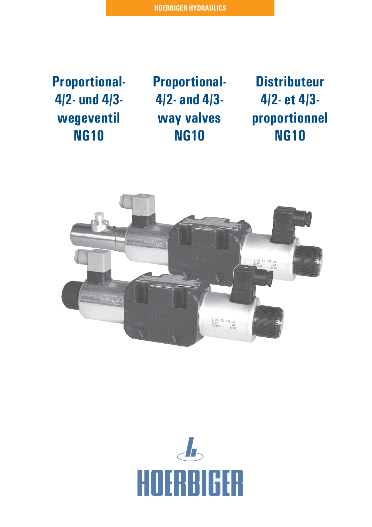**Proportional-4/2- und 4/3 wegeventil NG10**

**Proportional-4/2- and 4/3 way valves NG10**

**Distributeur 4/2- et 4/3 proportionnel NG10**



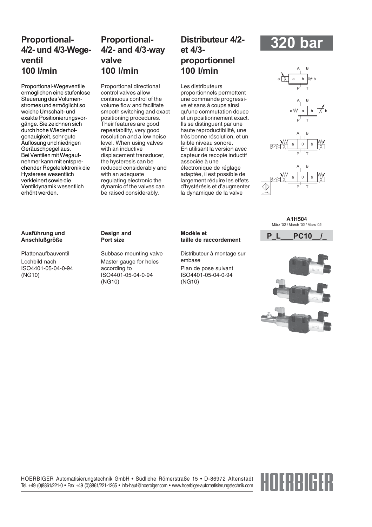# **Proportional-4/2- und 4/3-Wegeventil 100 l/min**

Proportional-Wegeventile ermöglichen eine stufenlose Steuerung des Volumenstromes und ermöglicht so weiche Umschalt- und exakte Positionierungsvorgänge. Sie zeichnen sich durch hohe Wiederholgenauigkeit, sehr gute Auflösung und niedrigen Geräuschpegel aus. Bei Ventilen mit Wegaufnehmer kann mit entsprechender Regelelektronik die Hysterese wesentlich verkleinert sowie die Ventildynamik wesentlich erhöht werden.

# **Proportional-4/2- and 4/3-way valve 100 l/min**

Proportional directional control valves allow continuous control of the volume flow and facilitate smooth switching and exact positioning procedures. Their features are good repeatability, very good resolution and a low noise level. When using valves with an inductive displacement transducer, the hysteresis can be reduced considerably and with an adequate regulating electronic the dynamic of the valves can be raised considerably.

# **Distributeur 4/2 et 4/3 proportionnel 100 l/min**

Les distributeurs proportionnels permettent une commande progressive et sans à coups ainsi qu'une commutation douce et un positionnement exact. Ils se distinguent par une haute reproductibilité, une très bonne résolution, et un faible niveau sonore. En utilisant la version avec capteur de recopie inductif associée à une électronique de réglage adaptée, il est possible de largement réduire les effets d'hystérésis et d'augmenter la dynamique de la valve

# **320 bar**

 $A$  B





**A1H504** März '02 / March '02 / Mars '02

### **Ausführung und Anschlußgröße**

Plattenaufbauventil Lochbild nach ISO4401-05-04-0-94 (NG10)

### **Design and Port size**

Subbase mounting valve Master gauge for holes according to ISO4401-05-04-0-94 (NG10)

# **P\_L\_\_\_PC10\_\_/\_ Modèle et taille de raccordement**

Distributeur à montage sur embase Plan de pose suivant ISO4401-05-04-0-94 (NG10)



HOERBIGER Automatisierungstechnik GmbH • Südliche Römerstraße 15 • D-86972 Altenstadt Tel. +49 (0)8861/221-0 • Fax +49 (0)8861/221-1265 • info-haut@hoerbiger.com • www.hoerbiger-automatisierungstechnik.com

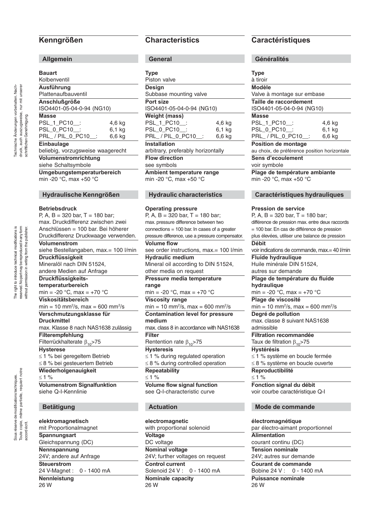# **Kenngrößen**

## **Allgemein**

| . .<br>. .<br>×<br>. .<br>w<br>×<br>I |
|---------------------------------------|
|---------------------------------------|

| pauart                                      |        |  |  |  |
|---------------------------------------------|--------|--|--|--|
| Kolbenventil                                |        |  |  |  |
| Ausführung                                  |        |  |  |  |
| Plattenaufbauventil                         |        |  |  |  |
| Anschlußgröße                               |        |  |  |  |
| ISO4401-05-04-0-94 (NG10)                   |        |  |  |  |
| <b>Masse</b>                                |        |  |  |  |
| PSL_1_PC10_:                                | 4,6 kg |  |  |  |
| PSL 0 PC10 :                                | 6.1 kg |  |  |  |
| PRL_/PIL_0_PC10__:                          | 6.6 kg |  |  |  |
| <b>Einbaulage</b>                           |        |  |  |  |
| beliebig, vorzugsweise waagerecht           |        |  |  |  |
| Volumenstromrichtung<br>siehe Schaltsymbole |        |  |  |  |

**Umgebungstemperaturbereich**

min -20 °C, max +50 °C

### **Hydraulische Kenngrößen**

### **Betriebsdruck**

P, A, B = 320 bar, T = 180 bar; max. Druckdifferenz zwischen zwei Anschlüssen = 100 bar. Bei höherer Druckdifferenz Druckwaage verwenden. **Volumenstrom** siehe Bestellangaben, max.= 100 l/min **Druckflüssigkeit** Mineralöl nach DIN 51524, andere Medien auf Anfrage **Druckflüssigkeitstemperaturbereich** min = -20  $^{\circ}$ C, max = +70  $^{\circ}$ C **Viskositätsbereich** min = 10 mm2 /s, max = 600 mm2 /s **Verschmutzungsklasse für Druckmittel** max. Klasse 8 nach NAS1638 zulässig **Filterempfehlung** Filterrückhalterate  $β_{10}$ >75 **Hysterese** ≤ 1 % bei geregeltem Betrieb ≤ 8 % bei gesteuertem Betrieb **Wiederholgenauigkeit** ≤ 1 % **Volumenstrom Signalfunktion** siehe Q-I-Kennlinie **Betätigung elektromagnetisch** mit Proportionalmagnet **Spannungsart** Gleichspannung (DC)

**Nennspannung** 24V; andere auf Anfrage **Steuerstrom** 24 V-Magnet : 0 - 1400 mA **Nennleistung**

26 W

# **Characteristics**

**General**

| <b>Type</b>                        |        |  |  |  |
|------------------------------------|--------|--|--|--|
| Piston valve                       |        |  |  |  |
| <b>Design</b>                      |        |  |  |  |
| Subbase mounting valve             |        |  |  |  |
| Port size                          |        |  |  |  |
| ISO4401-05-04-0-94 (NG10)          |        |  |  |  |
| <b>Weight (mass)</b>               |        |  |  |  |
| PSL 1 PC10 :                       | 4,6 kg |  |  |  |
| PSL 0 PC10 :                       | 6,1 kg |  |  |  |
| PRL / PIL 0 PC10 :                 | 6.6 kg |  |  |  |
| <b>Installation</b>                |        |  |  |  |
| arbitrary, preferably horizontally |        |  |  |  |
| <b>Flow direction</b>              |        |  |  |  |
| see symbols                        |        |  |  |  |
| Ambient temperature range          |        |  |  |  |
| min -20 °C, max +50 °C             |        |  |  |  |
|                                    |        |  |  |  |
|                                    |        |  |  |  |

## **Hydraulic characteristics**

### **Operating pressure** P, A, B = 320 bar, T = 180 bar; max. pressure difference between two connections = 100 bar. In cases of a greater pressure difference, use a pressure compensator. **Volume flow** see order instructions, max.= 100 l/min **Hydraulic medium** Mineral oil according to DIN 51524, other media on request **Pressure media temperature range** min = -20  $^{\circ}$ C, max = +70  $^{\circ}$ C **Viscosity range** min = 10 mm2 /s, max = 600 mm2 /s **Contamination level for pressure medium** max. class 8 in accordance with NAS1638 **Filter** Rentention rate  $\beta_{10}$ >75 **Hysteresis** ≤ 1 % during regulated operation ≤ 8 % during controlled operation **Repeatability** ≤ 1 % **Volume flow signal function** see Q-I-characteristic curve **Actuation**

**electromagnetic** with proportional solenoid **Voltage** DC voltage **Nominal voltage** 24V; further voltages on request **Control current** Solenoid 24 V : 0 - 1400 mA **Nominale capacity** 26 W

# **Caractéristiques**

| oenerantes                                                  |        |  |  |
|-------------------------------------------------------------|--------|--|--|
|                                                             |        |  |  |
| <b>Type</b>                                                 |        |  |  |
| à tiroir                                                    |        |  |  |
| <b>Modèle</b>                                               |        |  |  |
| Valve à montage sur embase                                  |        |  |  |
| Taille de raccordement                                      |        |  |  |
| ISO4401-05-04-0-94 (NG10)                                   |        |  |  |
| <b>Masse</b>                                                |        |  |  |
| PSL_1_PC10__:                                               | 4,6 kg |  |  |
| PSL_0_PC10_                                                 | 6.1 kg |  |  |
| PRL_/PIL_0_PC10_:                                           | 6,6 kg |  |  |
| Position de montage                                         |        |  |  |
| au choix, de préférence position horizontale                |        |  |  |
| Sens d'ecoulement                                           |        |  |  |
| voir symbole                                                |        |  |  |
| Plage de température ambiante                               |        |  |  |
| min -20 °C, max +50 °C                                      |        |  |  |
|                                                             |        |  |  |
| Caractéristiques hydrauliques                               |        |  |  |
|                                                             |        |  |  |
| <b>Pression de service</b>                                  |        |  |  |
| P, A, B = 320 bar, T = 180 bar;                             |        |  |  |
| différence de pression max. entre deux raccords             |        |  |  |
| = 100 bar. En cas de différence de pression                 |        |  |  |
| plus élevées, utiliser une balance de pression              |        |  |  |
| Débit                                                       |        |  |  |
| voir indications de commande, max.= 40 l/min                |        |  |  |
| <b>Fluide hydraulique</b>                                   |        |  |  |
| Huile minérale DIN 51524,                                   |        |  |  |
| autres sur demande                                          |        |  |  |
| Plage de température du fluide                              |        |  |  |
| hydraulique                                                 |        |  |  |
| min = -20 °C, max = +70 °C                                  |        |  |  |
| Plage de viscosité                                          |        |  |  |
| $min = 10$ mm <sup>2</sup> /s, max = 600 mm <sup>2</sup> /s |        |  |  |
| Degré de pollution                                          |        |  |  |
| max. classe 8 suivant NAS1638                               |        |  |  |
| admissible                                                  |        |  |  |
| <b>Filtration recommandée</b>                               |        |  |  |
| Taux de filtration $\beta_{10}$ >75                         |        |  |  |
| <b>Hystérésis</b>                                           |        |  |  |
| ≤ 1 % système en boucle fermée                              |        |  |  |
| $\leq$ 8 % système en boucle ouverte                        |        |  |  |
| Reproductibilité                                            |        |  |  |
|                                                             |        |  |  |

 $< 1 %$ **Fonction signal du débit** voir courbe caractéristique Q-I

### **Mode de commande**

**électromagnétique** par électro-aimant proportionnel **Alimentation** courant continu (DC) **Tension nominale** 24V; autres sur demande **Courant de commande** Bobine 24 V : 0 - 1400 mA **Puissance nominale** 26 W

The right to introduce technical modifications is The right to introduce technical modifications is reserved. No part may be reproduced in any form reserved. No part may be reproduced in any form without permission in writing from the publisher. without permission in writing from the publisher.

accord écrit.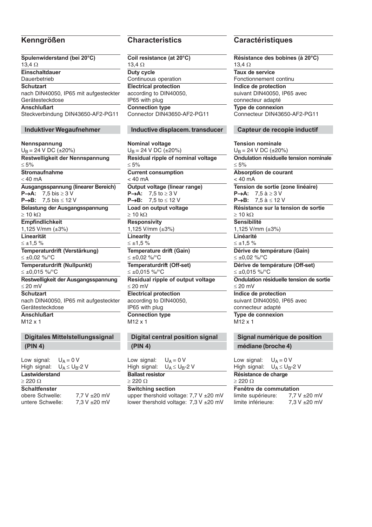**Spulenwiderstand (bei 20°C)** 13,4 Ω **Einschaltdauer** Dauerbetrieb **Schutzart** nach DIN40050, IP65 mit aufgesteckter Gerätesteckdose **Anschlußart** Steckverbindung DIN43650-AF2-PG11 **Induktiver Wegaufnehmer Nennspannung**  $U_B = 24 V D C (±20%)$ **Restwelligkeit der Nennspannung**  $< 5\%$ **Stromaufnahme**  $<$  40 mA **Ausgangsspannung (linearer Bereich) P**→**A:** 7,5 bis ≥ 3 V

**P**→**B:** 7,5 bis ≤ 12 V **Belastung der Ausgangsspannung**  $\geq 10$  kΩ **Empfindlichkeit** 1,125 V/mm (±3%) **Linearität**  $≤ ±1.5 %$ **Temperaturdrift (Verstärkung)** ≤ ±0,02 %/°C **Temperaturdrift (Nullpunkt)** ≤ ±0,015 %/°C **Restwelligkeit der Ausgangsspannung** ≤ 20 mV **Schutzart**

nach DIN40050, IP65 mit aufgesteckter Gerätesteckdose **Anschlußart**

M12 x 1

# **Digitales Mittelstellungssignal (PIN 4)**

Low signal:  $U_A = 0 V$ <br>High signal:  $U_A \leq U_B - 2 V$ High signal: **Lastwiderstand**  $> 2200$ **Schaltfenster** obere Schwelle: 7,7 V ±20 mV untere Schwelle: 7.3 V ± 20 m V

**Coil resistance (at 20°C)** 13,4 Ω **Duty cycle** Continuous operation **Electrical protection** according to DIN40050, IP65 with plug **Connection type** Connector DIN43650-AF2-PG11

### **Inductive displacem. transducer**

### **Nominal voltage**

 $U_B = 24$  V DC ( $\pm 20\%$ ) **Residual ripple of nominal voltage** ≤ 5% **Current consumption**  $< 40$  mA **Output voltage (linear range) P**→**A:** 7,5 to ≥ 3 V **P**→**B:** 7,5 to ≤ 12 V **Load on output voltage**  $\geq 10$  kΩ **Responsivity** 1,125 V/mm (±3%) **Linearity** ≤ ±1,5 % **Temperature drift (Gain)** ≤ ±0,02 %/°C **Temperaturdrift (Off-set)** ≤ ±0,015 %/°C **Residual ripple of output voltage** ≤ 20 mV **Electrical protection** according to DIN40050, IP65 with plug **Connection type** M12 x 1

**Digital central position signal (PIN 4)**

Low signal:  $U_A = 0 V$ <br>High signal:  $U_A \leq U_B - 2 V$ High signal: **Ballast resistor**

### ≥ 220 Ω

**Switching section**

upper thershold voltage: 7.7 V ± 20 mV lower thershold voltage: 7,3 V ±20 mV

# **Kenngrößen Characteristics Caractéristiques**

**Résistance des bobines (à 20°C)** 13,4 Ω **Taux de service** Fonctionnement continu **Indice de protection** suivant DIN40050, IP65 avec connecteur adapté **Type de connexion** Connecteur DIN43650-AF2-PG11

### **Capteur de recopie inductif**

### **Tension nominale**

 $U_B = 24$  V DC ( $\pm 20\%$ ) **Ondulation résiduelle tension nominale** ≤ 5% **Absorption de courant**  $< 40$  mA **Tension de sortie (zone linéaire) P→A:** 7,5 à ≥ 3 V<br>**P→B:** 7,5 à ≤ 12 ' **P**→**B:** 7,5 à ≤ 12 V **Résistance sur la tension de sortie**  $\geq 10$  kΩ **Sensibilité** 1,125 V/mm (±3%) **Linéarité**  $≤ ±1.5 %$ **Dérive de température (Gain)** ≤ ±0,02 %/°C **Dérive de température (Off-set)** ≤ ±0,015 %/°C **Ondulation résiduelle tension de sortie** ≤ 20 mV **Indice de protection** suivant DIN40050, IP65 avec connecteur adapté **Type de connexion** M12 x 1

**Signal numérique de position médiane (broche 4)**

Low signal:  $U_A = 0$  V<br>High signal:  $U_A \leq U_B$  $U_A \leq U_B$ -2 V

**Résistance de charge** ≥ 220 Ω

**Fenêtre de commutation** limite supérieure: 7.7 V ±20 mV limite inférieure: 7,3 V ±20 mV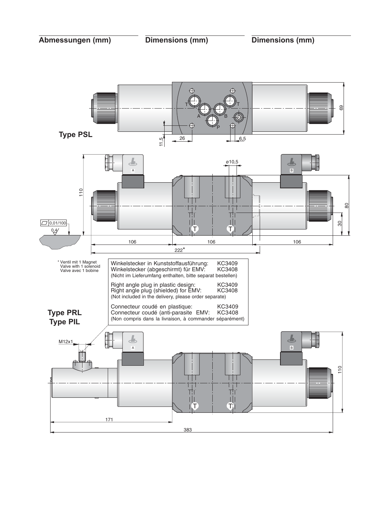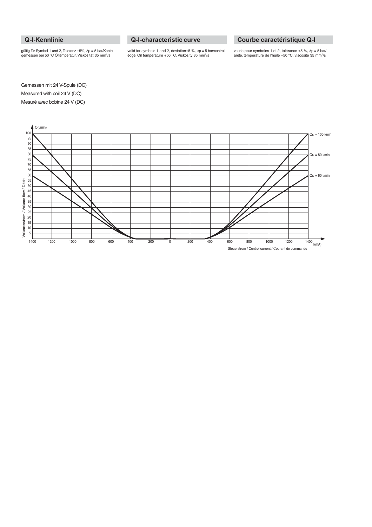# **Q-I-Kennlinie**

gültig für Symbol 1 und 2, Toleranz ±5%, ∆p = 5 bar/Kante gemessen bei 50 °C Öltemperatur, Viskosität 35 mm2/s

## **Q-I-characteristic curve**

valid for symbols 1 and 2, deviation±5 %, ∆p = 5 bar/control<br>edge, Oil temperature +50 °C, Viskosity 35 mm<sup>2</sup>/s

## **Courbe caractéristique Q-I**

valide pour symboles 1 et 2, tolérance ±5 %, ∆p = 5 bar/ arête, température de l'huile +50 °C, viscosité 35 mm2/s

Gemessen mit 24 V-Spule (DC) Measured with coil 24 V (DC) Mesuré avec bobine 24 V (DC)

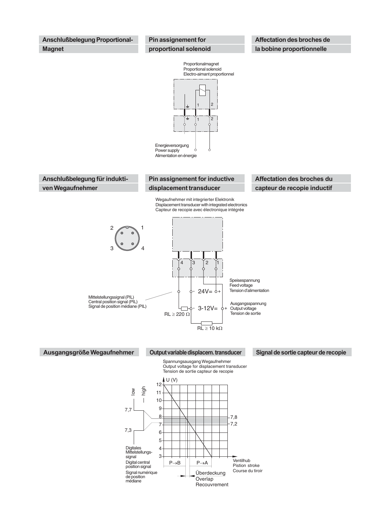